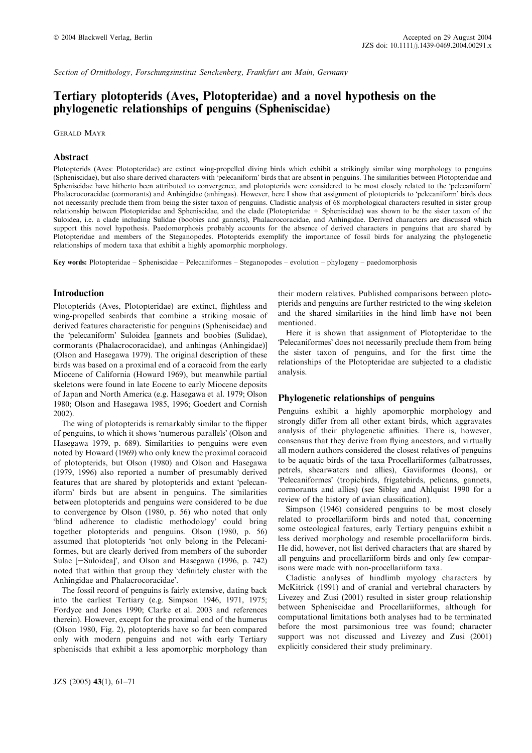Section of Ornithology, Forschungsinstitut Senckenberg, Frankfurt am Main, Germany

# Tertiary plotopterids (Aves, Plotopteridae) and a novel hypothesis on the phylogenetic relationships of penguins (Spheniscidae)

Gerald Mayr

## Abstract

Plotopterids (Aves: Plotopteridae) are extinct wing-propelled diving birds which exhibit a strikingly similar wing morphology to penguins (Spheniscidae), but also share derived characters with 'pelecaniform' birds that are absent in penguins. The similarities between Plotopteridae and Spheniscidae have hitherto been attributed to convergence, and plotopterids were considered to be most closely related to the 'pelecaniform' Phalacrocoracidae (cormorants) and Anhingidae (anhingas). However, here I show that assignment of plotopterids to 'pelecaniform' birds does not necessarily preclude them from being the sister taxon of penguins. Cladistic analysis of 68 morphological characters resulted in sister group relationship between Plotopteridae and Spheniscidae, and the clade (Plotopteridae + Spheniscidae) was shown to be the sister taxon of the Suloidea, i.e. a clade including Sulidae (boobies and gannets), Phalacrocoracidae, and Anhingidae. Derived characters are discussed which support this novel hypothesis. Paedomorphosis probably accounts for the absence of derived characters in penguins that are shared by Plotopteridae and members of the Steganopodes. Plotopterids exemplify the importance of fossil birds for analyzing the phylogenetic relationships of modern taxa that exhibit a highly apomorphic morphology.

Key words: Plotopteridae – Spheniscidae – Pelecaniformes – Steganopodes – evolution – phylogeny – paedomorphosis

## Introduction

Plotopterids (Aves, Plotopteridae) are extinct, flightless and wing-propelled seabirds that combine a striking mosaic of derived features characteristic for penguins (Spheniscidae) and the 'pelecaniform' Suloidea [gannets and boobies (Sulidae), cormorants (Phalacrocoracidae), and anhingas (Anhingidae)] (Olson and Hasegawa 1979). The original description of these birds was based on a proximal end of a coracoid from the early Miocene of California (Howard 1969), but meanwhile partial skeletons were found in late Eocene to early Miocene deposits of Japan and North America (e.g. Hasegawa et al. 1979; Olson 1980; Olson and Hasegawa 1985, 1996; Goedert and Cornish 2002).

The wing of plotopterids is remarkably similar to the flipper of penguins, to which it shows 'numerous parallels' (Olson and Hasegawa 1979, p. 689). Similarities to penguins were even noted by Howard (1969) who only knew the proximal coracoid of plotopterids, but Olson (1980) and Olson and Hasegawa (1979, 1996) also reported a number of presumably derived features that are shared by plotopterids and extant 'pelecaniform' birds but are absent in penguins. The similarities between plotopterids and penguins were considered to be due to convergence by Olson (1980, p. 56) who noted that only 'blind adherence to cladistic methodology' could bring together plotopterids and penguins. Olson (1980, p. 56) assumed that plotopterids 'not only belong in the Pelecaniformes, but are clearly derived from members of the suborder Sulae [=Suloidea]', and Olson and Hasegawa (1996, p. 742) noted that within that group they 'definitely cluster with the Anhingidae and Phalacrocoracidae'.

The fossil record of penguins is fairly extensive, dating back into the earliest Tertiary (e.g. Simpson 1946, 1971, 1975; Fordyce and Jones 1990; Clarke et al. 2003 and references therein). However, except for the proximal end of the humerus (Olson 1980, Fig. 2), plotopterids have so far been compared only with modern penguins and not with early Tertiary spheniscids that exhibit a less apomorphic morphology than

their modern relatives. Published comparisons between plotopterids and penguins are further restricted to the wing skeleton and the shared similarities in the hind limb have not been mentioned.

Here it is shown that assignment of Plotopteridae to the Pelecaniformes' does not necessarily preclude them from being the sister taxon of penguins, and for the first time the relationships of the Plotopteridae are subjected to a cladistic analysis.

## Phylogenetic relationships of penguins

Penguins exhibit a highly apomorphic morphology and strongly differ from all other extant birds, which aggravates analysis of their phylogenetic affinities. There is, however, consensus that they derive from flying ancestors, and virtually all modern authors considered the closest relatives of penguins to be aquatic birds of the taxa Procellariiformes (albatrosses, petrels, shearwaters and allies), Gaviiformes (loons), or 'Pelecaniformes' (tropicbirds, frigatebirds, pelicans, gannets, cormorants and allies) (see Sibley and Ahlquist 1990 for a review of the history of avian classification).

Simpson (1946) considered penguins to be most closely related to procellariiform birds and noted that, concerning some osteological features, early Tertiary penguins exhibit a less derived morphology and resemble procellariiform birds. He did, however, not list derived characters that are shared by all penguins and procellariiform birds and only few comparisons were made with non-procellariiform taxa.

Cladistic analyses of hindlimb myology characters by McKitrick (1991) and of cranial and vertebral characters by Livezey and Zusi (2001) resulted in sister group relationship between Spheniscidae and Procellariiformes, although for computational limitations both analyses had to be terminated before the most parsimonious tree was found; character support was not discussed and Livezey and Zusi (2001) explicitly considered their study preliminary.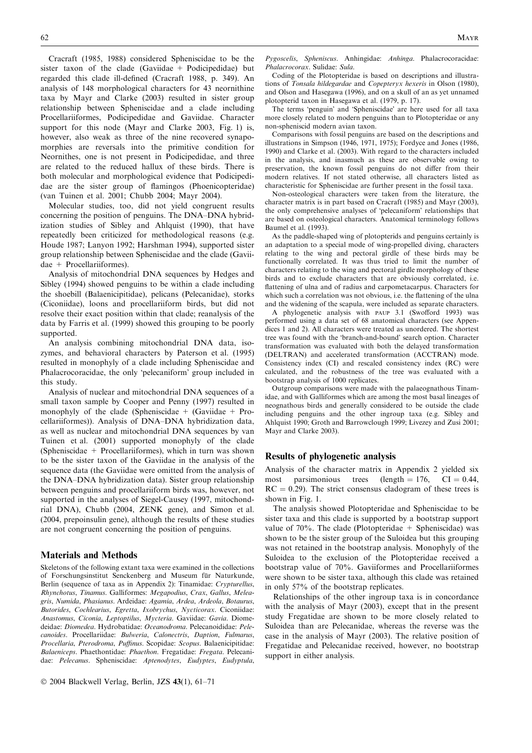Cracraft (1985, 1988) considered Spheniscidae to be the sister taxon of the clade (Gaviidae + Podicipedidae) but regarded this clade ill-defined (Cracraft 1988, p. 349). An analysis of 148 morphological characters for 43 neornithine taxa by Mayr and Clarke (2003) resulted in sister group relationship between Spheniscidae and a clade including Procellariiformes, Podicipedidae and Gaviidae. Character support for this node (Mayr and Clarke 2003, Fig. 1) is, however, also weak as three of the nine recovered synapomorphies are reversals into the primitive condition for Neornithes, one is not present in Podicipedidae, and three are related to the reduced hallux of these birds. There is both molecular and morphological evidence that Podicipedidae are the sister group of flamingos (Phoenicopteridae) (van Tuinen et al. 2001; Chubb 2004; Mayr 2004).

Molecular studies, too, did not yield congruent results concerning the position of penguins. The DNA–DNA hybridization studies of Sibley and Ahlquist (1990), that have repeatedly been criticized for methodological reasons (e.g. Houde 1987; Lanyon 1992; Harshman 1994), supported sister group relationship between Spheniscidae and the clade (Gaviidae + Procellariiformes).

Analysis of mitochondrial DNA sequences by Hedges and Sibley (1994) showed penguins to be within a clade including the shoebill (Balaenicipitidae), pelicans (Pelecanidae), storks (Ciconiidae), loons and procellariiform birds, but did not resolve their exact position within that clade; reanalysis of the data by Farris et al. (1999) showed this grouping to be poorly supported.

An analysis combining mitochondrial DNA data, isozymes, and behavioral characters by Paterson et al. (1995) resulted in monophyly of a clade including Spheniscidae and Phalacrocoracidae, the only 'pelecaniform' group included in this study.

Analysis of nuclear and mitochondrial DNA sequences of a small taxon sample by Cooper and Penny (1997) resulted in monophyly of the clade (Spheniscidae + (Gaviidae + Procellariiformes)). Analysis of DNA–DNA hybridization data, as well as nuclear and mitochondrial DNA sequences by van Tuinen et al. (2001) supported monophyly of the clade (Spheniscidae  $+$  Procellariiformes), which in turn was shown to be the sister taxon of the Gaviidae in the analysis of the sequence data (the Gaviidae were omitted from the analysis of the DNA–DNA hybridization data). Sister group relationship between penguins and procellariiform birds was, however, not supported in the analyses of Siegel-Causey (1997, mitochondrial DNA), Chubb (2004, ZENK gene), and Simon et al. (2004, prepoinsulin gene), although the results of these studies are not congruent concerning the position of penguins.

#### Materials and Methods

Skeletons of the following extant taxa were examined in the collections of Forschungsinstitut Senckenberg and Museum für Naturkunde, Berlin (sequence of taxa as in Appendix 2): Tinamidae: Crypturellus, Rhynchotus, Tinamus. Galliformes: Megapodius, Crax, Gallus, Meleagris, Numida, Phasianus. Ardeidae: Agamia, Ardea, Ardeola, Botaurus, Butorides, Cochlearius, Egretta, Ixobrychus, Nycticorax. Ciconiidae: Anastomus, Ciconia, Leptoptilus, Mycteria. Gaviidae: Gavia. Diomedeidae: Diomedea. Hydrobatidae: Oceanodroma. Pelecanoididae: Pelecanoides. Procellariidae: Bulweria, Calonectris, Daption, Fulmarus, Procellaria, Pterodroma, Puffinus. Scopidae: Scopus. Balaenicipitidae: Balaeniceps. Phaethontidae: Phaethon. Fregatidae: Fregata. Pelecanidae: Pelecanus. Spheniscidae: Aptenodytes, Eudyptes, Eudyptula,

Pygoscelis, Spheniscus. Anhingidae: Anhinga. Phalacrocoracidae: Phalacrocorax. Sulidae: Sula.

Coding of the Plotopteridae is based on descriptions and illustrations of Tonsala hildegardae and Copepteryx hexeris in Olson (1980), and Olson and Hasegawa (1996), and on a skull of an as yet unnamed plotopterid taxon in Hasegawa et al. (1979, p. 17).

The terms 'penguin' and 'Spheniscidae' are here used for all taxa more closely related to modern penguins than to Plotopteridae or any non-spheniscid modern avian taxon.

Comparisons with fossil penguins are based on the descriptions and illustrations in Simpson (1946, 1971, 1975); Fordyce and Jones (1986, 1990) and Clarke et al. (2003). With regard to the characters included in the analysis, and inasmuch as these are observable owing to preservation, the known fossil penguins do not differ from their modern relatives. If not stated otherwise, all characters listed as characteristic for Spheniscidae are further present in the fossil taxa.

Non-osteological characters were taken from the literature, the character matrix is in part based on Cracraft (1985) and Mayr (2003), the only comprehensive analyses of 'pelecaniform' relationships that are based on osteological characters. Anatomical terminology follows Baumel et al. (1993).

As the paddle-shaped wing of plotopterids and penguins certainly is an adaptation to a special mode of wing-propelled diving, characters relating to the wing and pectoral girdle of these birds may be functionally correlated. It was thus tried to limit the number of characters relating to the wing and pectoral girdle morphology of these birds and to exclude characters that are obviously correlated, i.e. flattening of ulna and of radius and carpometacarpus. Characters for which such a correlation was not obvious, i.e. the flattening of the ulna and the widening of the scapula, were included as separate characters.

A phylogenetic analysis with paup 3.1 (Swofford 1993) was performed using a data set of 68 anatomical characters (see Appendices 1 and 2). All characters were treated as unordered. The shortest tree was found with the 'branch-and-bound' search option. Character transformation was evaluated with both the delayed transformation (DELTRAN) and accelerated transformation (ACCTRAN) mode. Consistency index (CI) and rescaled consistency index (RC) were calculated, and the robustness of the tree was evaluated with a bootstrap analysis of 1000 replicates.

Outgroup comparisons were made with the palaeognathous Tinamidae, and with Galliformes which are among the most basal lineages of neognathous birds and generally considered to be outside the clade including penguins and the other ingroup taxa (e.g. Sibley and Ahlquist 1990; Groth and Barrowclough 1999; Livezey and Zusi 2001; Mayr and Clarke 2003).

#### Results of phylogenetic analysis

Analysis of the character matrix in Appendix 2 yielded six most parsimonious trees (length  $= 176$ , CI  $= 0.44$ ,  $RC = 0.29$ . The strict consensus cladogram of these trees is shown in Fig. 1.

The analysis showed Plotopteridae and Spheniscidae to be sister taxa and this clade is supported by a bootstrap support value of  $70\%$ . The clade (Plotopteridae + Spheniscidae) was shown to be the sister group of the Suloidea but this grouping was not retained in the bootstrap analysis. Monophyly of the Suloidea to the exclusion of the Plotopteridae received a bootstrap value of 70%. Gaviiformes and Procellariiformes were shown to be sister taxa, although this clade was retained in only 57% of the bootstrap replicates.

Relationships of the other ingroup taxa is in concordance with the analysis of Mayr (2003), except that in the present study Fregatidae are shown to be more closely related to Suloidea than are Pelecanidae, whereas the reverse was the case in the analysis of Mayr (2003). The relative position of Fregatidae and Pelecanidae received, however, no bootstrap support in either analysis.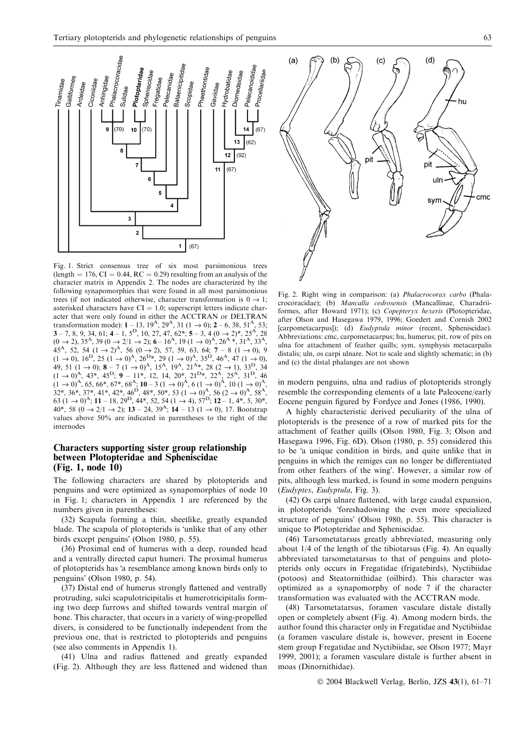

Fig. 1. Strict consensus tree of six most parsimonious trees (length  $= 176$ , CI  $= 0.44$ , RC  $= 0.29$ ) resulting from an analysis of the character matrix in Appendix 2. The nodes are characterized by the following synapomorphies that were found in all most parsimonious trees (if not indicated otherwise, character transformation is  $0 \rightarrow 1$ ; asterisked characters have  $CI = 1.0$ ; superscript letters indicate character that were only found in either the ACCTRAN or DELTRAN transformation mode):  $1 - 13$ ,  $19^{A}$ ,  $29^{A}$ ,  $31$  ( $1 \rightarrow 0$ );  $2 - 6$ ,  $38$ ,  $51^{A}$ ,  $53$ ;  $3-7, 8, 9, 34, 61; 4-1, 5<sup>D</sup>, 10, 27, 47, 62*; 5-3, 4 (0 \rightarrow 2)*, 25<sup>A</sup>, 28$  $(0 \rightarrow 2)$ , 35<sup>A</sup>, 39  $(0 \rightarrow 2/1 \rightarrow 2)$ ; 6 – 16<sup>A</sup>, 19  $(1 \rightarrow 0)$ <sup>A</sup>, 26<sup>A</sup> \*, 31<sup>A</sup>, 33<sup>A</sup>, 45<sup>A</sup>, 52, 54  $(1 \rightarrow 2)^A$ , 56  $(0 \rightarrow 2)$ , 57, 59, 63, 64; 7 – 8  $(1 \rightarrow 0)$ , 9  $(1 \rightarrow 0)$ ,  $16^D$ ,  $25 (1 \rightarrow 0)^A$ ,  $26^D$ <sup>\*</sup>,  $29 (1 \rightarrow 0)^A$ ,  $35^D$ ,  $46^A$ ,  $47 (1 \rightarrow 0)$ , 49, 51 (1  $\rightarrow$  0); 8 – 7 (1  $\rightarrow$  0)<sup>A</sup>, 15<sup>A</sup>, 19<sup>A</sup>, 21<sup>A\*</sup>, 28 (2  $\rightarrow$  1), 33<sup>D</sup>, 34  $(1 \rightarrow 0)^{\mathcal{A}}$ , 43\*, 45<sup>D</sup>; 9 – 11\*, 12, 14, 20\*, 21<sup>D</sup>\*, 22<sup>A</sup>, 25<sup>A</sup>, 31<sup>D</sup>, 46  $(1 \rightarrow 0)^{\mathcal{A}}, 65, 66^*, 67^*, 68^{\mathcal{A}}; 10 - 3 (1 \rightarrow 0)^{\mathcal{A}}, 6 (1 \rightarrow 0)^{\mathcal{A}}, 10 (1 \rightarrow 0)^{\mathcal{A}},$  $32^*$ ,  $36^*$ ,  $37^*$ ,  $41^*$ ,  $42^*$ ,  $46^D$ ,  $48^*$ ,  $50^*$ ,  $53$   $(1 \rightarrow 0)^A$ ,  $56$   $(2 \rightarrow 0)^A$ ,  $58^A$ 63  $(1 \rightarrow 0)^A$ ; 11 – 18, 29<sup>D</sup>, 44\*, 52, 54 (1  $\rightarrow$  4), 57<sup>D</sup>; 12 – 1, 4\*, 5, 30\*, 40\*, 58 (0  $\rightarrow$  2/1  $\rightarrow$  2); 13 – 24, 39<sup>A</sup>; 14 – 13 (1  $\rightarrow$  0), 17. Bootstrap values above 50% are indicated in parentheses to the right of the internodes

# Characters supporting sister group relationship between Plotopteridae and Spheniscidae (Fig. 1, node 10)

The following characters are shared by plotopterids and penguins and were optimized as synapomorphies of node 10 in Fig. 1; characters in Appendix 1 are referenced by the numbers given in parentheses:

(32) Scapula forming a thin, sheetlike, greatly expanded blade. The scapula of plotopterids is 'unlike that of any other birds except penguins' (Olson 1980, p. 55).

(36) Proximal end of humerus with a deep, rounded head and a ventrally directed caput humeri. The proximal humerus of plotopterids has 'a resemblance among known birds only to penguins' (Olson 1980, p. 54).

(37) Distal end of humerus strongly flattened and ventrally protruding, sulci scapulotricipitalis et humerotricipitalis forming two deep furrows and shifted towards ventral margin of bone. This character, that occurs in a variety of wing-propelled divers, is considered to be functionally independent from the previous one, that is restricted to plotopterids and penguins (see also comments in Appendix 1).

(41) Ulna and radius flattened and greatly expanded (Fig. 2). Although they are less flattened and widened than

Fig. 2. Right wing in comparison: (a) Phalacrocorax carbo (Phalacrocoracidae); (b) Mancalla cedrosensis (Mancallinae, Charadriiformes, after Howard 1971); (c) Copepteryx hexeris (Plotopteridae, after Olson and Hasegawa 1979, 1996; Goedert and Cornish 2002 [carpometacarpus]); (d) Eudyptula minor (recent, Spheniscidae). Abbreviations: cmc, carpometacarpus; hu, humerus; pit, row of pits on ulna for attachment of feather quills; sym, symphysis metacarpalis distalis; uln, os carpi ulnare. Not to scale and slightly schematic; in (b) and (c) the distal phalanges are not shown

in modern penguins, ulna and radius of plotopterids strongly resemble the corresponding elements of a late Paleocene/early Eocene penguin figured by Fordyce and Jones (1986, 1990).

A highly characteristic derived peculiarity of the ulna of plotopterids is the presence of a row of marked pits for the attachment of feather quills (Olson 1980, Fig. 3; Olson and Hasegawa 1996, Fig. 6D). Olson (1980, p. 55) considered this to be 'a unique condition in birds, and quite unlike that in penguins in which the remiges can no longer be differentiated from other feathers of the wing'. However, a similar row of pits, although less marked, is found in some modern penguins (Eudyptes, Eudyptula, Fig. 3).

(42) Os carpi ulnare flattened, with large caudal expansion, in plotopterids foreshadowing the even more specialized structure of penguins' (Olson 1980, p. 55). This character is unique to Plotopteridae and Spheniscidae.

(46) Tarsometatarsus greatly abbreviated, measuring only about 1/4 of the length of the tibiotarsus (Fig. 4). An equally abbreviated tarsometatarsus to that of penguins and plotopterids only occurs in Fregatidae (frigatebirds), Nyctibiidae (potoos) and Steatornithidae (oilbird). This character was optimized as a synapomorphy of node 7 if the character transformation was evaluated with the ACCTRAN mode.

(48) Tarsometatarsus, foramen vasculare distale distally open or completely absent (Fig. 4). Among modern birds, the author found this character only in Fregatidae and Nyctibiidae (a foramen vasculare distale is, however, present in Eocene stem group Fregatidae and Nyctibiidae, see Olson 1977; Mayr 1999, 2001); a foramen vasculare distale is further absent in moas (Dinornithidae).

2004 Blackwell Verlag, Berlin, JZS 43(1), 61–71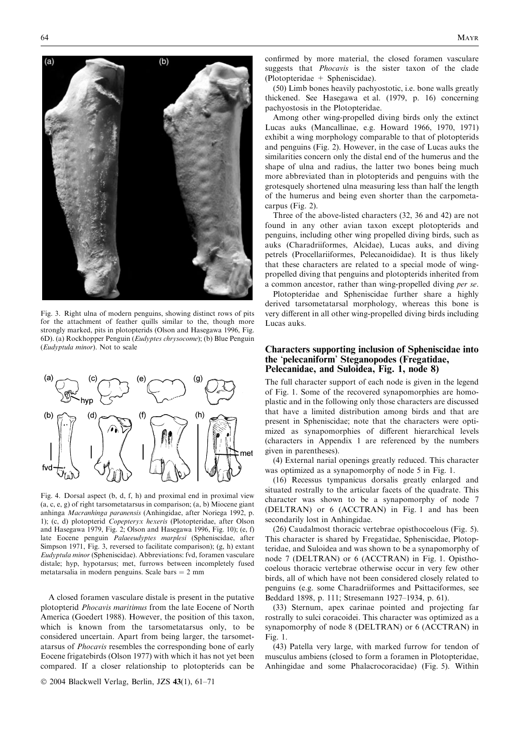$(a)$  $(b)$ 

Fig. 3. Right ulna of modern penguins, showing distinct rows of pits for the attachment of feather quills similar to the, though more strongly marked, pits in plotopterids (Olson and Hasegawa 1996, Fig. 6D). (a) Rockhopper Penguin (Eudyptes chrysocome); (b) Blue Penguin (Eudyptula minor). Not to scale



Fig. 4. Dorsal aspect (b, d, f, h) and proximal end in proximal view (a, c, e, g) of right tarsometatarsus in comparison; (a, b) Miocene giant anhinga Macranhinga paranensis (Anhingidae, after Noriega 1992, p. 1); (c, d) plotopterid Copepteryx hexeris (Plotopteridae, after Olson and Hasegawa 1979, Fig. 2; Olson and Hasegawa 1996, Fig. 10); (e, f) late Eocene penguin Palaeeudyptes marplesi (Spheniscidae, after Simpson 1971, Fig. 3, reversed to facilitate comparison); (g, h) extant Eudyptula minor (Spheniscidae). Abbreviations: fvd, foramen vasculare distale; hyp, hypotarsus; met, furrows between incompletely fused metatarsalia in modern penguins. Scale bars  $= 2$  mm

A closed foramen vasculare distale is present in the putative plotopterid Phocavis maritimus from the late Eocene of North America (Goedert 1988). However, the position of this taxon, which is known from the tarsometatarsus only, to be considered uncertain. Apart from being larger, the tarsometatarsus of Phocavis resembles the corresponding bone of early Eocene frigatebirds (Olson 1977) with which it has not yet been compared. If a closer relationship to plotopterids can be

2004 Blackwell Verlag, Berlin, JZS 43(1), 61–71

confirmed by more material, the closed foramen vasculare suggests that Phocavis is the sister taxon of the clade (Plotopteridae + Spheniscidae).

(50) Limb bones heavily pachyostotic, i.e. bone walls greatly thickened. See Hasegawa et al. (1979, p. 16) concerning pachyostosis in the Plotopteridae.

Among other wing-propelled diving birds only the extinct Lucas auks (Mancallinae, e.g. Howard 1966, 1970, 1971) exhibit a wing morphology comparable to that of plotopterids and penguins (Fig. 2). However, in the case of Lucas auks the similarities concern only the distal end of the humerus and the shape of ulna and radius, the latter two bones being much more abbreviated than in plotopterids and penguins with the grotesquely shortened ulna measuring less than half the length of the humerus and being even shorter than the carpometacarpus (Fig. 2).

Three of the above-listed characters (32, 36 and 42) are not found in any other avian taxon except plotopterids and penguins, including other wing propelled diving birds, such as auks (Charadriiformes, Alcidae), Lucas auks, and diving petrels (Procellariiformes, Pelecanoididae). It is thus likely that these characters are related to a special mode of wingpropelled diving that penguins and plotopterids inherited from a common ancestor, rather than wing-propelled diving per se.

Plotopteridae and Spheniscidae further share a highly derived tarsometatarsal morphology, whereas this bone is very different in all other wing-propelled diving birds including Lucas auks.

## Characters supporting inclusion of Spheniscidae into the 'pelecaniform' Steganopodes (Fregatidae, Pelecanidae, and Suloidea, Fig. 1, node 8)

The full character support of each node is given in the legend of Fig. 1. Some of the recovered synapomorphies are homoplastic and in the following only those characters are discussed that have a limited distribution among birds and that are present in Spheniscidae; note that the characters were optimized as synapomorphies of different hierarchical levels (characters in Appendix 1 are referenced by the numbers given in parentheses).

(4) External narial openings greatly reduced. This character was optimized as a synapomorphy of node 5 in Fig. 1.

(16) Recessus tympanicus dorsalis greatly enlarged and situated rostrally to the articular facets of the quadrate. This character was shown to be a synapomorphy of node 7 (DELTRAN) or 6 (ACCTRAN) in Fig. 1 and has been secondarily lost in Anhingidae.

(26) Caudalmost thoracic vertebrae opisthocoelous (Fig. 5). This character is shared by Fregatidae, Spheniscidae, Plotopteridae, and Suloidea and was shown to be a synapomorphy of node 7 (DELTRAN) or 6 (ACCTRAN) in Fig. 1. Opisthocoelous thoracic vertebrae otherwise occur in very few other birds, all of which have not been considered closely related to penguins (e.g. some Charadriiformes and Psittaciformes, see Beddard 1898, p. 111; Stresemann 1927–1934, p. 61).

(33) Sternum, apex carinae pointed and projecting far rostrally to sulci coracoidei. This character was optimized as a synapomorphy of node 8 (DELTRAN) or 6 (ACCTRAN) in Fig. 1.

(43) Patella very large, with marked furrow for tendon of musculus ambiens (closed to form a foramen in Plotopteridae, Anhingidae and some Phalacrocoracidae) (Fig. 5). Within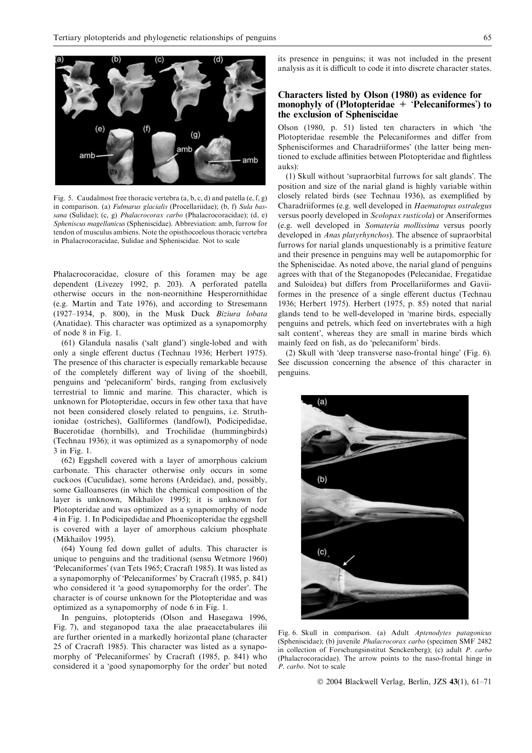

Fig. 5. Caudalmost free thoracic vertebra (a, b, c, d) and patella (e, f, g) in comparison. (a) Fulmarus glacialis (Procellariidae); (b, f) Sula bassana (Sulidae); (c, g) Phalacrocorax carbo (Phalacrocoracidae); (d, e) Spheniscus magellanicus (Spheniscidae). Abbreviation: amb, furrow for tendon of musculus ambiens. Note the opisthocoelous thoracic vertebra in Phalacrocoracidae, Sulidae and Spheniscidae. Not to scale

Phalacrocoracidae, closure of this foramen may be age dependent (Livezey 1992, p. 203). A perforated patella otherwise occurs in the non-neornithine Hesperornithidae (e.g. Martin and Tate 1976), and according to Stresemann (1927–1934, p. 800), in the Musk Duck Biziura lobata (Anatidae). This character was optimized as a synapomorphy of node 8 in Fig. 1.

(61) Glandula nasalis ('salt gland') single-lobed and with only a single efferent ductus (Technau 1936; Herbert 1975). The presence of this character is especially remarkable because of the completely different way of living of the shoebill, penguins and 'pelecaniform' birds, ranging from exclusively terrestrial to limnic and marine. This character, which is unknown for Plotopteridae, occurs in few other taxa that have not been considered closely related to penguins, i.e. Struthionidae (ostriches), Galliformes (landfowl), Podicipedidae, Bucerotidae (hornbills), and Trochilidae (hummingbirds) (Technau 1936); it was optimized as a synapomorphy of node 3 in Fig. 1.

(62) Eggshell covered with a layer of amorphous calcium carbonate. This character otherwise only occurs in some cuckoos (Cuculidae), some herons (Ardeidae), and, possibly, some Galloanseres (in which the chemical composition of the layer is unknown, Mikhailov 1995); it is unknown for Plotopteridae and was optimized as a synapomorphy of node 4 in Fig. 1. In Podicipedidae and Phoenicopteridae the eggshell is covered with a layer of amorphous calcium phosphate (Mikhailov 1995).

(64) Young fed down gullet of adults. This character is unique to penguins and the traditional (sensu Wetmore 1960) 'Pelecaniformes' (van Tets 1965; Cracraft 1985). It was listed as a synapomorphy of 'Pelecaniformes' by Cracraft (1985, p. 841) who considered it 'a good synapomorphy for the order'. The character is of course unknown for the Plotopteridae and was optimized as a synapomorphy of node 6 in Fig. 1.

In penguins, plotopterids (Olson and Hasegawa 1996, Fig. 7), and steganopod taxa the alae praeacetabulares ilii are further oriented in a markedly horizontal plane (character 25 of Cracraft 1985). This character was listed as a synapomorphy of 'Pelecaniformes' by Cracraft (1985, p. 841) who considered it a 'good synapomorphy for the order' but noted

its presence in penguins; it was not included in the present analysis as it is difficult to code it into discrete character states.

## Characters listed by Olson (1980) as evidence for monophyly of (Plotopteridae + 'Pelecaniformes') to the exclusion of Spheniscidae

Olson (1980, p. 51) listed ten characters in which 'the Plotopteridae resemble the Pelecaniformes and differ from Sphenisciformes and Charadriiformes' (the latter being mentioned to exclude affinities between Plotopteridae and flightless auks):

(1) Skull without 'supraorbital furrows for salt glands'. The position and size of the narial gland is highly variable within closely related birds (see Technau 1936), as exemplified by Charadriiformes (e.g. well developed in Haematopus ostralegus versus poorly developed in Scolopax rusticola) or Anseriformes (e.g. well developed in Somateria mollissima versus poorly developed in Anas platyrhynchos). The absence of supraorbital furrows for narial glands unquestionably is a primitive feature and their presence in penguins may well be autapomorphic for the Spheniscidae. As noted above, the narial gland of penguins agrees with that of the Steganopodes (Pelecanidae, Fregatidae and Suloidea) but differs from Procellariiformes and Gaviiformes in the presence of a single efferent ductus (Technau 1936; Herbert 1975). Herbert (1975, p. 85) noted that narial glands tend to be well-developed in marine birds, especially penguins and petrels, which feed on invertebrates with a high salt content', whereas they are small in marine birds which mainly feed on fish, as do 'pelecaniform' birds.

(2) Skull with 'deep transverse naso-frontal hinge' (Fig. 6). See discussion concerning the absence of this character in penguins.



Fig. 6. Skull in comparison. (a) Adult Aptenodytes patagonicus (Spheniscidae); (b) juvenile Phalacrocorax carbo (specimen SMF 2482 in collection of Forschungsinstitut Senckenberg); (c) adult P. carbo (Phalacrocoracidae). The arrow points to the naso-frontal hinge in P. carbo. Not to scale

2004 Blackwell Verlag, Berlin, JZS 43(1), 61–71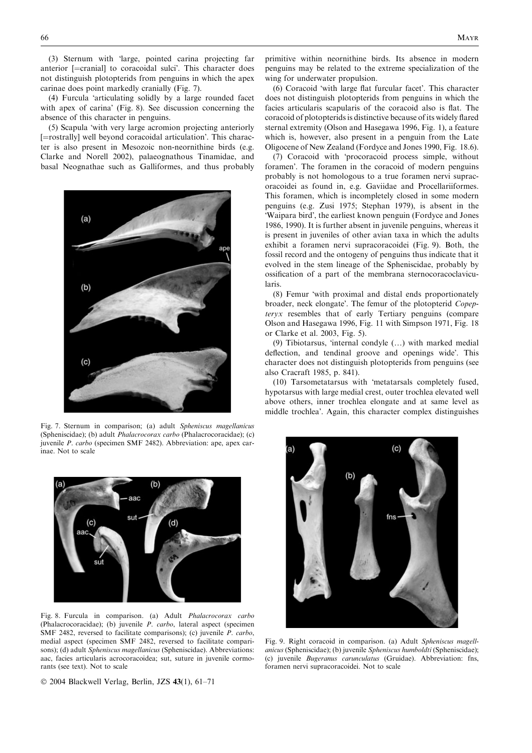(3) Sternum with large, pointed carina projecting far anterior [=cranial] to coracoidal sulci'. This character does not distinguish plotopterids from penguins in which the apex carinae does point markedly cranially (Fig. 7).

 $(4)$  Furcula 'articulating solidly by a large rounded facet with apex of carina' (Fig. 8). See discussion concerning the absence of this character in penguins.

(5) Scapula with very large acromion projecting anteriorly [=rostrally] well beyond coracoidal articulation'. This character is also present in Mesozoic non-neornithine birds (e.g. Clarke and Norell 2002), palaeognathous Tinamidae, and basal Neognathae such as Galliformes, and thus probably



Fig. 7. Sternum in comparison; (a) adult Spheniscus magellanicus (Spheniscidae); (b) adult Phalacrocorax carbo (Phalacrocoracidae); (c) juvenile P. carbo (specimen SMF 2482). Abbreviation: ape, apex carinae. Not to scale



Fig. 8. Furcula in comparison. (a) Adult Phalacrocorax carbo (Phalacrocoracidae); (b) juvenile P. carbo, lateral aspect (specimen SMF 2482, reversed to facilitate comparisons); (c) juvenile P. carbo, medial aspect (specimen SMF 2482, reversed to facilitate comparisons); (d) adult Spheniscus magellanicus (Spheniscidae). Abbreviations: aac, facies articularis acrocoracoidea; sut, suture in juvenile cormorants (see text). Not to scale

2004 Blackwell Verlag, Berlin, JZS 43(1), 61–71

primitive within neornithine birds. Its absence in modern penguins may be related to the extreme specialization of the wing for underwater propulsion.

(6) Coracoid 'with large flat furcular facet'. This character does not distinguish plotopterids from penguins in which the facies articularis scapularis of the coracoid also is flat. The coracoid of plotopterids is distinctive because of its widely flared sternal extremity (Olson and Hasegawa 1996, Fig. 1), a feature which is, however, also present in a penguin from the Late Oligocene of New Zealand (Fordyce and Jones 1990, Fig. 18.6).

(7) Coracoid with procoracoid process simple, without foramen'. The foramen in the coracoid of modern penguins probably is not homologous to a true foramen nervi supracoracoidei as found in, e.g. Gaviidae and Procellariiformes. This foramen, which is incompletely closed in some modern penguins (e.g. Zusi 1975; Stephan 1979), is absent in the 'Waipara bird', the earliest known penguin (Fordyce and Jones 1986, 1990). It is further absent in juvenile penguins, whereas it is present in juveniles of other avian taxa in which the adults exhibit a foramen nervi supracoracoidei (Fig. 9). Both, the fossil record and the ontogeny of penguins thus indicate that it evolved in the stem lineage of the Spheniscidae, probably by ossification of a part of the membrana sternocoracoclavicularis.

(8) Femur with proximal and distal ends proportionately broader, neck elongate'. The femur of the plotopterid Copepteryx resembles that of early Tertiary penguins (compare Olson and Hasegawa 1996, Fig. 11 with Simpson 1971, Fig. 18 or Clarke et al. 2003, Fig. 5).

(9) Tibiotarsus, internal condyle (…) with marked medial deflection, and tendinal groove and openings wide'. This character does not distinguish plotopterids from penguins (see also Cracraft 1985, p. 841).

(10) Tarsometatarsus with metatarsals completely fused, hypotarsus with large medial crest, outer trochlea elevated well above others, inner trochlea elongate and at same level as middle trochlea'. Again, this character complex distinguishes



Fig. 9. Right coracoid in comparison. (a) Adult Spheniscus magellanicus (Spheniscidae); (b) juvenile Spheniscus humboldti (Spheniscidae); (c) juvenile Bugeranus carunculatus (Gruidae). Abbreviation: fns, foramen nervi supracoracoidei. Not to scale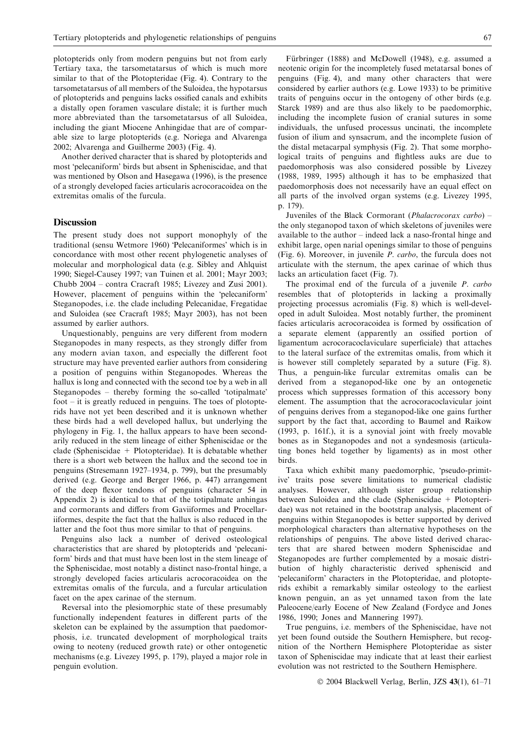plotopterids only from modern penguins but not from early Tertiary taxa, the tarsometatarsus of which is much more similar to that of the Plotopteridae (Fig. 4). Contrary to the tarsometatarsus of all members of the Suloidea, the hypotarsus of plotopterids and penguins lacks ossified canals and exhibits a distally open foramen vasculare distale; it is further much more abbreviated than the tarsometatarsus of all Suloidea, including the giant Miocene Anhingidae that are of comparable size to large plotopterids (e.g. Noriega and Alvarenga 2002; Alvarenga and Guilherme 2003) (Fig. 4).

Another derived character that is shared by plotopterids and most 'pelecaniform' birds but absent in Spheniscidae, and that was mentioned by Olson and Hasegawa (1996), is the presence of a strongly developed facies articularis acrocoracoidea on the extremitas omalis of the furcula.

### **Discussion**

The present study does not support monophyly of the traditional (sensu Wetmore 1960) 'Pelecaniformes' which is in concordance with most other recent phylogenetic analyses of molecular and morphological data (e.g. Sibley and Ahlquist 1990; Siegel-Causey 1997; van Tuinen et al. 2001; Mayr 2003; Chubb 2004 – contra Cracraft 1985; Livezey and Zusi 2001). However, placement of penguins within the 'pelecaniform' Steganopodes, i.e. the clade including Pelecanidae, Fregatidae and Suloidea (see Cracraft 1985; Mayr 2003), has not been assumed by earlier authors.

Unquestionably, penguins are very different from modern Steganopodes in many respects, as they strongly differ from any modern avian taxon, and especially the different foot structure may have prevented earlier authors from considering a position of penguins within Steganopodes. Whereas the hallux is long and connected with the second toe by a web in all Steganopodes – thereby forming the so-called 'totipalmate' foot – it is greatly reduced in penguins. The toes of plotopterids have not yet been described and it is unknown whether these birds had a well developed hallux, but underlying the phylogeny in Fig. 1, the hallux appears to have been secondarily reduced in the stem lineage of either Spheniscidae or the clade (Spheniscidae + Plotopteridae). It is debatable whether there is a short web between the hallux and the second toe in penguins (Stresemann 1927–1934, p. 799), but the presumably derived (e.g. George and Berger 1966, p. 447) arrangement of the deep flexor tendons of penguins (character 54 in Appendix 2) is identical to that of the totipalmate anhingas and cormorants and differs from Gaviiformes and Procellariiformes, despite the fact that the hallux is also reduced in the latter and the foot thus more similar to that of penguins.

Penguins also lack a number of derived osteological characteristics that are shared by plotopterids and 'pelecaniform' birds and that must have been lost in the stem lineage of the Spheniscidae, most notably a distinct naso-frontal hinge, a strongly developed facies articularis acrocoracoidea on the extremitas omalis of the furcula, and a furcular articulation facet on the apex carinae of the sternum.

Reversal into the plesiomorphic state of these presumably functionally independent features in different parts of the skeleton can be explained by the assumption that paedomorphosis, i.e. truncated development of morphological traits owing to neoteny (reduced growth rate) or other ontogenetic mechanisms (e.g. Livezey 1995, p. 179), played a major role in penguin evolution.

Fürbringer (1888) and McDowell (1948), e.g. assumed a neotenic origin for the incompletely fused metatarsal bones of penguins (Fig. 4), and many other characters that were considered by earlier authors (e.g. Lowe 1933) to be primitive traits of penguins occur in the ontogeny of other birds (e.g. Starck 1989) and are thus also likely to be paedomorphic, including the incomplete fusion of cranial sutures in some individuals, the unfused processus uncinati, the incomplete fusion of ilium and synsacrum, and the incomplete fusion of the distal metacarpal symphysis (Fig. 2). That some morphological traits of penguins and flightless auks are due to paedomorphosis was also considered possible by Livezey (1988, 1989, 1995) although it has to be emphasized that paedomorphosis does not necessarily have an equal effect on all parts of the involved organ systems (e.g. Livezey 1995, p. 179).

Juveniles of the Black Cormorant (Phalacrocorax carbo) – the only steganopod taxon of which skeletons of juveniles were available to the author – indeed lack a naso-frontal hinge and exhibit large, open narial openings similar to those of penguins (Fig. 6). Moreover, in juvenile P. carbo, the furcula does not articulate with the sternum, the apex carinae of which thus lacks an articulation facet (Fig. 7).

The proximal end of the furcula of a juvenile *P. carbo* resembles that of plotopterids in lacking a proximally projecting processus acromialis (Fig. 8) which is well-developed in adult Suloidea. Most notably further, the prominent facies articularis acrocoracoidea is formed by ossification of a separate element (apparently an ossified portion of ligamentum acrocoracoclaviculare superficiale) that attaches to the lateral surface of the extremitas omalis, from which it is however still completely separated by a suture (Fig. 8). Thus, a penguin-like furcular extremitas omalis can be derived from a steganopod-like one by an ontogenetic process which suppresses formation of this accessory bony element. The assumption that the acrocoracoclavicular joint of penguins derives from a steganopod-like one gains further support by the fact that, according to Baumel and Raikow (1993, p. 161f.), it is a synovial joint with freely movable bones as in Steganopodes and not a syndesmosis (articulating bones held together by ligaments) as in most other birds.

Taxa which exhibit many paedomorphic, 'pseudo-primitive' traits pose severe limitations to numerical cladistic analyses. However, although sister group relationship between Suloidea and the clade (Spheniscidae + Plotopteridae) was not retained in the bootstrap analysis, placement of penguins within Steganopodes is better supported by derived morphological characters than alternative hypotheses on the relationships of penguins. The above listed derived characters that are shared between modern Spheniscidae and Steganopodes are further complemented by a mosaic distribution of highly characteristic derived spheniscid and 'pelecaniform' characters in the Plotopteridae, and plotopterids exhibit a remarkably similar osteology to the earliest known penguin, an as yet unnamed taxon from the late Paleocene/early Eocene of New Zealand (Fordyce and Jones 1986, 1990; Jones and Mannering 1997).

True penguins, i.e. members of the Spheniscidae, have not yet been found outside the Southern Hemisphere, but recognition of the Northern Hemisphere Plotopteridae as sister taxon of Spheniscidae may indicate that at least their earliest evolution was not restricted to the Southern Hemisphere.

2004 Blackwell Verlag, Berlin, JZS 43(1), 61–71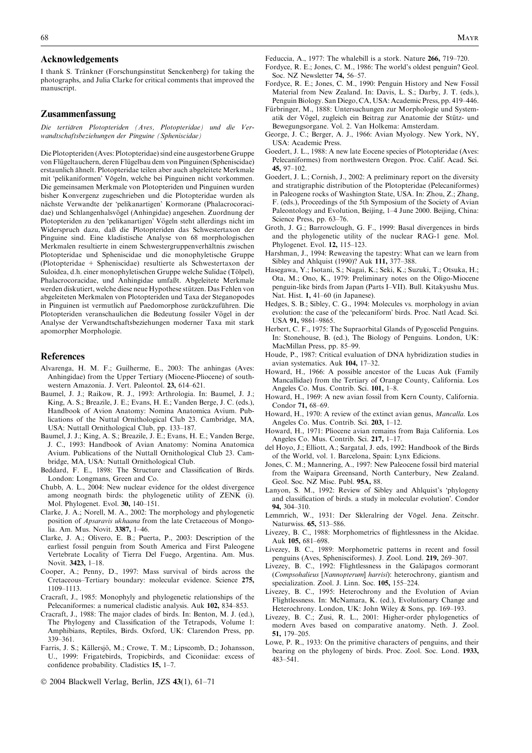#### Acknowledgements

I thank S. Tränkner (Forschungsinstitut Senckenberg) for taking the photographs, and Julia Clarke for critical comments that improved the manuscript.

## Zusammenfassung

Die tertiären Plotopteriden (Aves, Plotopteridae) und die Verwandtschaftsbeziehungen der Pinguine (Spheniscidae)

Die Plotopteriden (Aves: Plotopteridae) sind eine ausgestorbene Gruppe von Flügeltauchern, deren Flügelbau dem von Pinguinen (Spheniscidae) erstaunlich ähnelt. Plotopteridae teilen aber auch abgeleitete Merkmale mit 'pelikaniformen' Vögeln, welche bei Pinguinen nicht vorkommen. Die gemeinsamen Merkmale von Plotopteriden und Pinguinen wurden bisher Konvergenz zugeschrieben und die Plotopteridae wurden als nächste Verwandte der 'pelikanartigen' Kormorane (Phalacrocoracidae) und Schlangenhalsvögel (Anhingidae) angesehen. Zuordnung der Plotopteriden zu den 'pelikanartigen' Vögeln steht allerdings nicht im Widerspruch dazu, daß die Plotopteriden das Schwestertaxon der Pinguine sind. Eine kladistische Analyse von 68 morphologischen Merkmalen resultierte in einem Schwestergruppenverhältnis zwischen Plotopteridae und Spheniscidae und die monophyletische Gruppe (Plotopteridae + Spheniscidae) resultierte als Schwestertaxon der Suloidea, d.h. einer monophyletischen Gruppe welche Sulidae (Tölpel), Phalacrocoracidae, und Anhingidae umfaßt. Abgeleitete Merkmale werden diskutiert, welche diese neue Hypothese stützen. Das Fehlen von abgeleiteten Merkmalen von Plotopteriden und Taxa der Steganopodes in Pinguinen ist vermutlich auf Paedomorphose zurückzuführen. Die Plotopteriden veranschaulichen die Bedeutung fossiler Vögel in der Analyse der Verwandtschaftsbeziehungen moderner Taxa mit stark apomorpher Morphologie.

#### References

- Alvarenga, H. M. F.; Guilherme, E., 2003: The anhingas (Aves: Anhingidae) from the Upper Tertiary (Miocene-Pliocene) of southwestern Amazonia. J. Vert. Paleontol. 23, 614–621.
- Baumel, J. J.; Raikow, R. J., 1993: Arthrologia. In: Baumel, J. J.; King, A. S.; Breazile, J. E.; Evans, H. E.; Vanden Berge, J. C. (eds.), Handbook of Avion Anatomy: Nomina Anatomica Avium. Publications of the Nuttal Ornithological Club 23. Cambridge, MA, USA: Nuttall Ornithological Club, pp. 133–187.
- Baumel, J. J.; King, A. S.; Breazile, J. E.; Evans, H. E.; Vanden Berge, J. C., 1993: Handbook of Avian Anatomy: Nomina Anatomica Avium. Publications of the Nuttall Ornithological Club 23. Cambridge, MA, USA: Nuttall Ornithological Club.
- Beddard, F. E., 1898: The Structure and Classification of Birds. London: Longmans, Green and Co.
- Chubb, A. L., 2004: New nuclear evidence for the oldest divergence among neognath birds: the phylogenetic utility of ZENK (i). Mol. Phylogenet. Evol. 30, 140–151.
- Clarke, J. A.; Norell, M. A., 2002: The morphology and phylogenetic position of Apsaravis ukhaana from the late Cretaceous of Mongolia. Am. Mus. Novit. 3387, 1–46.
- Clarke, J. A.; Olivero, E. B.; Puerta, P., 2003: Description of the earliest fossil penguin from South America and First Paleogene Vertebrate Locality of Tierra Del Fuego, Argentina. Am. Mus. Novit. 3423, 1–18.
- Cooper, A.; Penny, D., 1997: Mass survival of birds across the Cretaceous–Tertiary boundary: molecular evidence. Science 275, 1109–1113.
- Cracraft, J., 1985: Monophyly and phylogenetic relationships of the Pelecaniformes: a numerical cladistic analysis. Auk 102, 834–853.
- Cracraft, J., 1988: The major clades of birds. In: Benton, M. J. (ed.), The Phylogeny and Classification of the Tetrapods, Volume 1: Amphibians, Reptiles, Birds. Oxford, UK: Clarendon Press, pp. 339–361.
- Farris, J. S.; Källersjö, M.; Crowe, T. M.; Lipscomb, D.; Johansson, U., 1999: Frigatebirds, Tropicbirds, and Ciconiidae: excess of confidence probability. Cladistics 15, 1–7.
- 2004 Blackwell Verlag, Berlin, JZS 43(1), 61–71

Feduccia, A., 1977: The whalebill is a stork. Nature 266, 719–720.

- Fordyce, R. E.; Jones, C. M., 1986: The world's oldest penguin? Geol. Soc. NZ Newsletter 74, 56–57.
- Fordyce, R. E.; Jones, C. M., 1990: Penguin History and New Fossil Material from New Zealand. In: Davis, L. S.; Darby, J. T. (eds.), Penguin Biology. San Diego, CA, USA: Academic Press, pp. 419–446.
- Fürbringer, M., 1888: Untersuchungen zur Morphologie und Systematik der Vögel, zugleich ein Beitrag zur Anatomie der Stütz- und Bewegungsorgane. Vol. 2. Van Holkema: Amsterdam.
- George, J. C.; Berger, A. J., 1966: Avian Myology. New York, NY, USA: Academic Press.
- Goedert, J. L., 1988: A new late Eocene species of Plotopteridae (Aves: Pelecaniformes) from northwestern Oregon. Proc. Calif. Acad. Sci. 45, 97–102.
- Goedert, J. L.; Cornish, J., 2002: A preliminary report on the diversity and stratigraphic distribution of the Plotopteridae (Pelecaniformes) in Paleogene rocks of Washington State, USA. In: Zhou, Z.; Zhang, F. (eds.), Proceedings of the 5th Symposium of the Society of Avian Paleontology and Evolution, Beijing, 1–4 June 2000. Beijing, China: Science Press, pp. 63–76.
- Groth, J. G.; Barrowclough, G. F., 1999: Basal divergences in birds and the phylogenetic utility of the nuclear RAG-1 gene. Mol. Phylogenet. Evol. 12, 115–123.
- Harshman, J., 1994: Reweaving the tapestry: What can we learn from Sibley and Ahlquist (1990)? Auk 111, 377–388.
- Hasegawa, Y.; Isotani, S.; Nagai, K.; Seki, K.; Suzuki, T.; Otsuka, H.; Ota, M.; Ono, K., 1979: Preliminary notes on the Oligo-Miocene penguin-like birds from Japan (Parts I–VII). Bull. Kitakyushu Mus. Nat. Hist. 1, 41–60 (in Japanese).
- Hedges, S. B.; Sibley, C. G., 1994: Molecules vs. morphology in avian evolution: the case of the 'pelecaniform' birds. Proc. Natl Acad. Sci. USA 91, 9861–9865.
- Herbert, C. F., 1975: The Supraorbital Glands of Pygoscelid Penguins. In: Stonehouse, B. (ed.), The Biology of Penguins. London, UK: MacMillan Press, pp. 85–99.
- Houde, P., 1987: Critical evaluation of DNA hybridization studies in avian systematics. Auk 104, 17–32.
- Howard, H., 1966: A possible ancestor of the Lucas Auk (Family Mancallidae) from the Tertiary of Orange County, California. Los Angeles Co. Mus. Contrib. Sci. 101, 1–8.
- Howard, H., 1969: A new avian fossil from Kern County, California. Condor 71, 68–69.
- Howard, H., 1970: A review of the extinct avian genus, Mancalla. Los Angeles Co. Mus. Contrib. Sci. 203, 1–12.
- Howard, H., 1971: Pliocene avian remains from Baja California. Los Angeles Co. Mus. Contrib. Sci. 217, 1–17.
- del Hoyo, J.; Elliott, A.; Sargatal, J. eds, 1992: Handbook of the Birds of the World, vol. 1. Barcelona, Spain: Lynx Edicions.
- Jones, C. M.; Mannering, A., 1997: New Paleocene fossil bird material from the Waipara Greensand, North Canterbury, New Zealand. Geol. Soc. NZ Misc. Publ. 95A, 88.
- Lanyon, S. M., 1992: Review of Sibley and Ahlquist's 'phylogeny and classification of birds. a study in molecular evolution'. Condor 94, 304–310.
- Lemmrich, W., 1931: Der Skleralring der Vögel. Jena. Zeitschr. Naturwiss. 65, 513–586.
- Livezey, B. C., 1988: Morphometrics of flightlessness in the Alcidae. Auk 105, 681–698.
- Livezey, B. C., 1989: Morphometric patterns in recent and fossil penguins (Aves, Sphenisciformes). J. Zool. Lond. 219, 269–307.
- Livezey, B. C., 1992: Flightlessness in the Galápagos cormorant (Compsohalieus [Nannopterum] harrisi): heterochrony, giantism and specialization. Zool. J. Linn. Soc. 105, 155–224.
- Livezey, B. C., 1995: Heterochrony and the Evolution of Avian Flightlessness. In: McNamara, K. (ed.), Evolutionary Change and Heterochrony. London, UK: John Wiley & Sons, pp. 169–193.
- Livezey, B. C.; Zusi, R. L., 2001: Higher-order phylogenetics of modern Aves based on comparative anatomy. Neth. J. Zool. 51, 179–205.
- Lowe, P. R., 1933: On the primitive characters of penguins, and their bearing on the phylogeny of birds. Proc. Zool. Soc. Lond. 1933, 483–541.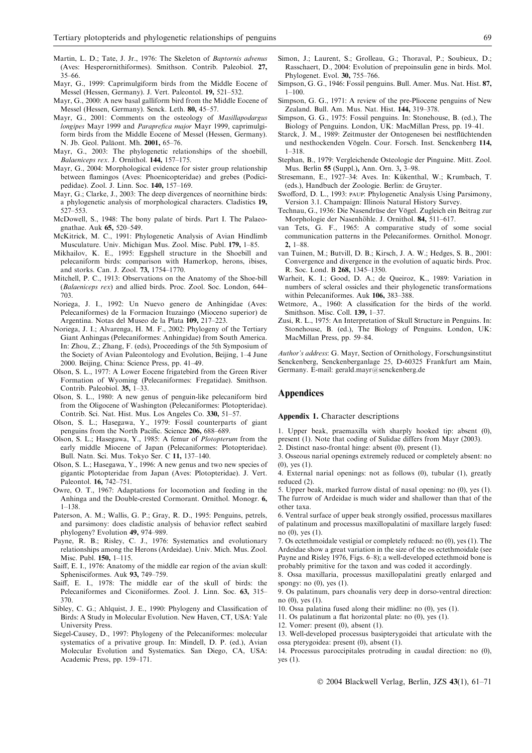- Martin, L. D.; Tate, J. Jr., 1976: The Skeleton of Baptornis advenus (Aves: Hesperornithiformes). Smithson. Contrib. Paleobiol. 27, 35–66.
- Mayr, G., 1999: Caprimulgiform birds from the Middle Eocene of Messel (Hessen, Germany). J. Vert. Paleontol. 19, 521–532.
- Mayr, G., 2000: A new basal galliform bird from the Middle Eocene of Messel (Hessen, Germany). Senck. Leth. 80, 45–57.
- Mayr, G., 2001: Comments on the osteology of Masillapodargus longipes Mayr 1999 and Paraprefica major Mayr 1999, caprimulgiform birds from the Middle Eocene of Messel (Hessen, Germany). N. Jb. Geol. Paläont. Mh. 2001, 65-76.
- Mayr, G., 2003: The phylogenetic relationships of the shoebill, Balaeniceps rex. J. Ornithol. 144, 157–175.
- Mayr, G., 2004: Morphological evidence for sister group relationship between flamingos (Aves: Phoenicopteridae) and grebes (Podicipedidae). Zool. J. Linn. Soc. 140, 157–169.
- Mayr, G.; Clarke, J., 2003: The deep divergences of neornithine birds: a phylogenetic analysis of morphological characters. Cladistics 19, 527–553.
- McDowell, S., 1948: The bony palate of birds. Part I. The Palaeognathae. Auk 65, 520–549.
- McKitrick, M. C., 1991: Phylogenetic Analysis of Avian Hindlimb Musculature. Univ. Michigan Mus. Zool. Misc. Publ. 179, 1–85.
- Mikhailov, K. E., 1995: Eggshell structure in the Shoebill and pelecaniform birds: comparison with Hamerkop, herons, ibises, and storks. Can. J. Zool. 73, 1754–1770.
- Mitchell, P. C., 1913: Observations on the Anatomy of the Shoe-bill (Balaeniceps rex) and allied birds. Proc. Zool. Soc. London, 644– 703.
- Noriega, J. I., 1992: Un Nuevo genero de Anhingidae (Aves: Pelecaniformes) de la Formacion Ituzaingo (Mioceno superior) de Argentina. Notas del Museo de la Plata 109, 217–223.
- Noriega, J. I.; Alvarenga, H. M. F., 2002: Phylogeny of the Tertiary Giant Anhingas (Pelecaniformes: Anhingidae) from South America. In: Zhou, Z.; Zhang, F. (eds), Proceedings of the 5th Symposium of the Society of Avian Paleontology and Evolution, Beijing, 1–4 June 2000. Beijing, China: Science Press, pp. 41–49.
- Olson, S. L., 1977: A Lower Eocene frigatebird from the Green River Formation of Wyoming (Pelecaniformes: Fregatidae). Smithson. Contrib. Paleobiol. 35, 1–33.
- Olson, S. L., 1980: A new genus of penguin-like pelecaniform bird from the Oligocene of Washington (Pelecaniformes: Plotopteridae). Contrib. Sci. Nat. Hist. Mus. Los Angeles Co. 330, 51–57.
- Olson, S. L.; Hasegawa, Y., 1979: Fossil counterparts of giant penguins from the North Pacific. Science 206, 688–689.
- Olson, S. L.; Hasegawa, Y., 1985: A femur of Plotopterum from the early middle Miocene of Japan (Pelecaniformes: Plotopteridae). Bull. Natn. Sci. Mus. Tokyo Ser. C 11, 137–140.
- Olson, S. L.; Hasegawa, Y., 1996: A new genus and two new species of gigantic Plotopteridae from Japan (Aves: Plotopteridae). J. Vert. Paleontol. 16, 742–751.
- Owre, O. T., 1967: Adaptations for locomotion and feeding in the Anhinga and the Double-crested Cormorant. Ornithol. Monogr. 6, 1–138.
- Paterson, A. M.; Wallis, G. P.; Gray, R. D., 1995: Penguins, petrels, and parsimony: does cladistic analysis of behavior reflect seabird phylogeny? Evolution 49, 974–989.
- Payne, R. B.; Risley, C. J., 1976: Systematics and evolutionary relationships among the Herons (Ardeidae). Univ. Mich. Mus. Zool. Misc. Publ. 150, 1–115.
- Saiff, E. I., 1976: Anatomy of the middle ear region of the avian skull: Sphenisciformes. Auk 93, 749–759.
- Saiff, E. I., 1978: The middle ear of the skull of birds: the Pelecaniformes and Ciconiiformes. Zool. J. Linn. Soc. 63, 315– 370.
- Sibley, C. G.; Ahlquist, J. E., 1990: Phylogeny and Classification of Birds: A Study in Molecular Evolution. New Haven, CT, USA: Yale University Press.
- Siegel-Causey, D., 1997: Phylogeny of the Pelecaniformes: molecular systematics of a privative group. In: Mindell, D. P. (ed.), Avian Molecular Evolution and Systematics. San Diego, CA, USA: Academic Press, pp. 159–171.
- Simon, J.; Laurent, S.; Grolleau, G.; Thoraval, P.; Soubieux, D.; Rasschaert, D., 2004: Evolution of prepoinsulin gene in birds. Mol. Phylogenet. Evol. 30, 755–766.
- Simpson, G. G., 1946: Fossil penguins. Bull. Amer. Mus. Nat. Hist. 87, 1–100.
- Simpson, G. G., 1971: A review of the pre-Pliocene penguins of New Zealand. Bull. Am. Mus. Nat. Hist. 144, 319–378.
- Simpson, G. G., 1975: Fossil penguins. In: Stonehouse, B. (ed.), The Biology of Penguins. London, UK: MacMillan Press, pp. 19–41.
- Starck, J. M., 1989: Zeitmuster der Ontogenesen bei nestflüchtenden und nesthockenden Vögeln. Cour. Forsch. Inst. Senckenberg 114, 1–318.
- Stephan, B., 1979: Vergleichende Osteologie der Pinguine. Mitt. Zool. Mus. Berlin 55 (Suppl.), Ann. Orn. 3, 3–98.
- Stresemann, E., 1927–34: Aves. In: Kükenthal, W.; Krumbach, T. (eds.), Handbuch der Zoologie. Berlin: de Gruyter.
- Swofford, D. L., 1993: paup: Phylogenetic Analysis Using Parsimony, Version 3.1. Champaign: Illinois Natural History Survey.
- Technau, G., 1936: Die Nasendrüse der Vögel. Zugleich ein Beitrag zur Morphologie der Nasenhöhle. J. Ornithol. 84, 511–617.
- van Tets, G. F., 1965: A comparative study of some social communication patterns in the Pelecaniformes. Ornithol. Monogr. 2, 1–88.
- van Tuinen, M.; Butvill, D. B.; Kirsch, J. A. W.; Hedges, S. B., 2001: Convergence and divergence in the evolution of aquatic birds. Proc. R. Soc. Lond. B 268, 1345–1350.
- Warheit, K. I.; Good, D. A.; de Queiroz, K., 1989: Variation in numbers of scleral ossicles and their phylogenetic transformations within Pelecaniformes. Auk 106, 383–388.
- Wetmore, A., 1960: A classification for the birds of the world. Smithson. Misc. Coll. 139, 1–37.
- Zusi, R. L., 1975: An Interpretation of Skull Structure in Penguins. In: Stonehouse, B. (ed.), The Biology of Penguins. London, UK: MacMillan Press, pp. 59–84.

Author's address: G. Mayr, Section of Ornithology, Forschungsinstitut Senckenberg, Senckenberganlage 25, D-60325 Frankfurt am Main, Germany. E-mail: gerald.mayr@senckenberg.de

#### Appendices

#### Appendix 1. Character descriptions

1. Upper beak, praemaxilla with sharply hooked tip: absent (0), present (1). Note that coding of Sulidae differs from Mayr (2003).

2. Distinct naso-frontal hinge: absent (0), present (1).

3. Osseous narial openings extremely reduced or completely absent: no (0), yes (1).

4. External narial openings: not as follows (0), tubular (1), greatly reduced (2).

5. Upper beak, marked furrow distal of nasal opening: no (0), yes (1). The furrow of Ardeidae is much wider and shallower than that of the other taxa.

6. Ventral surface of upper beak strongly ossified, processus maxillares of palatinum and processus maxillopalatini of maxillare largely fused: no (0), yes (1).

7. Os ectethmoidale vestigial or completely reduced: no (0), yes (1). The Ardeidae show a great variation in the size of the os ectethmoidale (see Payne and Risley 1976, Figs. 6–8); a well-developed ectethmoid bone is probably primitive for the taxon and was coded it accordingly.

8. Ossa maxillaria, processus maxillopalatini greatly enlarged and spongy: no (0), yes (1).

9. Os palatinum, pars choanalis very deep in dorso-ventral direction: no (0), yes (1).

- 10. Ossa palatina fused along their midline: no (0), yes (1).
- 11. Os palatinum a flat horizontal plate: no (0), yes (1).
- 12. Vomer: present (0), absent (1).

13. Well-developed processus basipterygoidei that articulate with the ossa pterygoidea: present (0), absent (1).

14. Processus paroccipitales protruding in caudal direction: no (0), yes (1).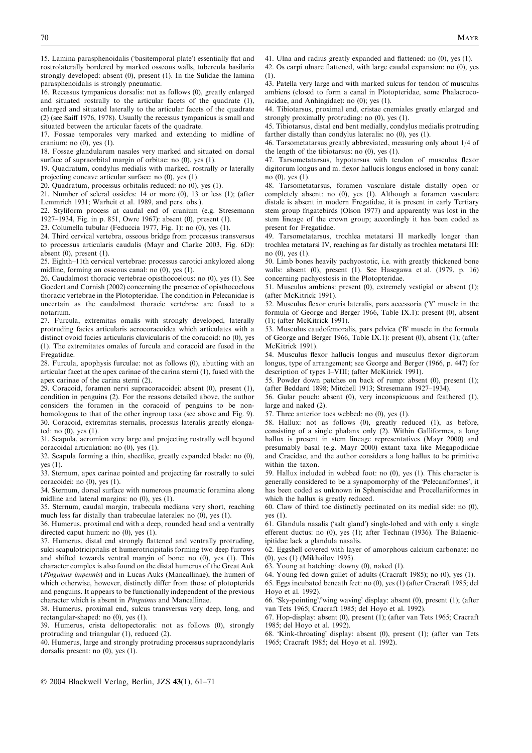15. Lamina parasphenoidalis ('basitemporal plate') essentially flat and rostrolaterally bordered by marked osseous walls, tubercula basilaria strongly developed: absent (0), present (1). In the Sulidae the lamina parasphenoidalis is strongly pneumatic.

16. Recessus tympanicus dorsalis: not as follows (0), greatly enlarged and situated rostrally to the articular facets of the quadrate (1), enlarged and situated laterally to the articular facets of the quadrate (2) (see Saiff 1976, 1978). Usually the recessus tympanicus is small and situated between the articular facets of the quadrate.

17. Fossae temporales very marked and extending to midline of cranium: no (0), yes (1).

18. Fossae glandularum nasales very marked and situated on dorsal surface of supraorbital margin of orbitae: no (0), yes (1).

19. Quadratum, condylus medialis with marked, rostrally or laterally projecting concave articular surface: no (0), yes (1).

20. Quadratum, processus orbitalis reduced: no (0), yes (1).

21. Number of scleral ossicles: 14 or more (0), 13 or less (1); (after Lemmrich 1931; Warheit et al. 1989, and pers. obs.).

22. Styliform process at caudal end of cranium (e.g. Stresemann 1927–1934, Fig. in p. 851, Owre 1967): absent (0), present (1).

23. Columella tubular (Feduccia 1977, Fig. 1): no (0), yes (1).

24. Third cervical vertebra, osseous bridge from processus transversus to processus articularis caudalis (Mayr and Clarke 2003, Fig. 6D): absent  $(0)$ , present  $(1)$ .

25. Eighth–11th cervical vertebrae: processus carotici ankylozed along midline, forming an osseous canal: no (0), yes (1).

26. Caudalmost thoracic vertebrae opisthocoelous: no (0), yes (1). See Goedert and Cornish (2002) concerning the presence of opisthocoelous thoracic vertebrae in the Plotopteridae. The condition in Pelecanidae is uncertain as the caudalmost thoracic vertebrae are fused to a notarium.

27. Furcula, extremitas omalis with strongly developed, laterally protruding facies articularis acrocoracoidea which articulates with a distinct ovoid facies articularis clavicularis of the coracoid: no (0), yes (1). The extremitates omales of furcula and coracoid are fused in the Fregatidae.

28. Furcula, apophysis furculae: not as follows (0), abutting with an articular facet at the apex carinae of the carina sterni (1), fused with the apex carinae of the carina sterni (2).

29. Coracoid, foramen nervi supracoracoidei: absent (0), present (1), condition in penguins (2). For the reasons detailed above, the author considers the foramen in the coracoid of penguins to be nonhomologous to that of the other ingroup taxa (see above and Fig. 9). 30. Coracoid, extremitas sternalis, processus lateralis greatly elongated: no (0), yes (1).

31. Scapula, acromion very large and projecting rostrally well beyond coracoidal articulation: no (0), yes (1).

32. Scapula forming a thin, sheetlike, greatly expanded blade: no (0), yes (1).

33. Sternum, apex carinae pointed and projecting far rostrally to sulci coracoidei: no (0), yes (1).

34. Sternum, dorsal surface with numerous pneumatic foramina along midline and lateral margins: no (0), yes (1).

35. Sternum, caudal margin, trabecula mediana very short, reaching much less far distally than trabeculae laterales: no (0), yes (1).

36. Humerus, proximal end with a deep, rounded head and a ventrally directed caput humeri: no (0), yes (1).

37. Humerus, distal end strongly flattened and ventrally protruding, sulci scapulotricipitalis et humerotricipitalis forming two deep furrows and shifted towards ventral margin of bone: no (0), yes (1). This character complex is also found on the distal humerus of the Great Auk (Pinguinus impennis) and in Lucas Auks (Mancallinae), the humeri of which otherwise, however, distinctly differ from those of plotopterids and penguins. It appears to be functionally independent of the previous character which is absent in Pinguinus and Mancallinae.

38. Humerus, proximal end, sulcus transversus very deep, long, and rectangular-shaped: no (0), yes (1).

39. Humerus, crista deltopectoralis: not as follows (0), strongly protruding and triangular (1), reduced (2).

40. Humerus, large and strongly protruding processus supracondylaris dorsalis present: no (0), yes (1).

41. Ulna and radius greatly expanded and flattened: no (0), yes (1).

42. Os carpi ulnare flattened, with large caudal expansion: no (0), yes (1).

43. Patella very large and with marked sulcus for tendon of musculus ambiens (closed to form a canal in Plotopteridae, some Phalacrocoracidae, and Anhingidae): no (0); yes (1).

44. Tibiotarsus, proximal end, cristae cnemiales greatly enlarged and strongly proximally protruding: no (0), yes (1).

45. Tibiotarsus, distal end bent medially, condylus medialis protruding farther distally than condylus lateralis: no (0), yes (1).

46. Tarsometatarsus greatly abbreviated, measuring only about 1/4 of the length of the tibiotarsus: no (0), yes (1).

47. Tarsometatarsus, hypotarsus with tendon of musculus flexor digitorum longus and m. flexor hallucis longus enclosed in bony canal: no (0), yes (1).

48. Tarsometatarsus, foramen vasculare distale distally open or completely absent: no (0), yes (1). Although a foramen vasculare distale is absent in modern Fregatidae, it is present in early Tertiary stem group frigatebirds (Olson 1977) and apparently was lost in the stem lineage of the crown group; accordingly it has been coded as present for Fregatidae.

49. Tarsometatarsus, trochlea metatarsi II markedly longer than trochlea metatarsi IV, reaching as far distally as trochlea metatarsi III: no (0), yes (1).

50. Limb bones heavily pachyostotic, i.e. with greatly thickened bone walls: absent (0), present (1). See Hasegawa et al. (1979, p. 16) concerning pachyostosis in the Plotopteridae.

51. Musculus ambiens: present (0), extremely vestigial or absent (1); (after McKitrick 1991).

52. Musculus flexor cruris lateralis, pars accessoria ('Y' muscle in the formula of George and Berger 1966, Table IX.1): present (0), absent (1); (after McKitrick 1991).

53. Musculus caudofemoralis, pars pelvica ('B' muscle in the formula of George and Berger 1966, Table IX.1): present (0), absent (1); (after McKitrick 1991).

54. Musculus flexor hallucis longus and musculus flexor digitorum longus, type of arrangement; see George and Berger (1966, p. 447) for description of types I–VIII; (after McKitrick 1991).

55. Powder down patches on back of rump: absent (0), present (1); (after Beddard 1898; Mitchell 1913; Stresemann 1927–1934).

56. Gular pouch: absent (0), very inconspicuous and feathered (1), large and naked (2).

57. Three anterior toes webbed: no (0), yes (1).

58. Hallux: not as follows (0), greatly reduced (1), as before, consisting of a single phalanx only (2). Within Galliformes, a long hallux is present in stem lineage representatives (Mayr 2000) and presumably basal (e.g. Mayr 2000) extant taxa like Megapodiidae and Cracidae, and the author considers a long hallux to be primitive within the taxon.

59. Hallux included in webbed foot: no (0), yes (1). This character is generally considered to be a synapomorphy of the 'Pelecaniformes', it has been coded as unknown in Spheniscidae and Procellariiformes in which the hallux is greatly reduced.

60. Claw of third toe distinctly pectinated on its medial side: no (0), yes (1).

61. Glandula nasalis ('salt gland') single-lobed and with only a single efferent ductus: no (0), yes (1); after Technau (1936). The Balaenicipitidae lack a glandula nasalis.

62. Eggshell covered with layer of amorphous calcium carbonate: no (0), yes (1) (Mikhailov 1995).

63. Young at hatching: downy (0), naked (1).

64. Young fed down gullet of adults (Cracraft 1985); no (0), yes (1).

65. Eggs incubated beneath feet: no (0), yes (1) (after Cracraft 1985; del Hoyo et al. 1992).

66. 'Sky-pointing'/'wing waving' display: absent (0), present (1); (after van Tets 1965; Cracraft 1985; del Hoyo et al. 1992).

67. Hop-display: absent (0), present (1); (after van Tets 1965; Cracraft 1985; del Hoyo et al. 1992).

68. Kink-throating' display: absent (0), present (1); (after van Tets 1965; Cracraft 1985; del Hoyo et al. 1992).